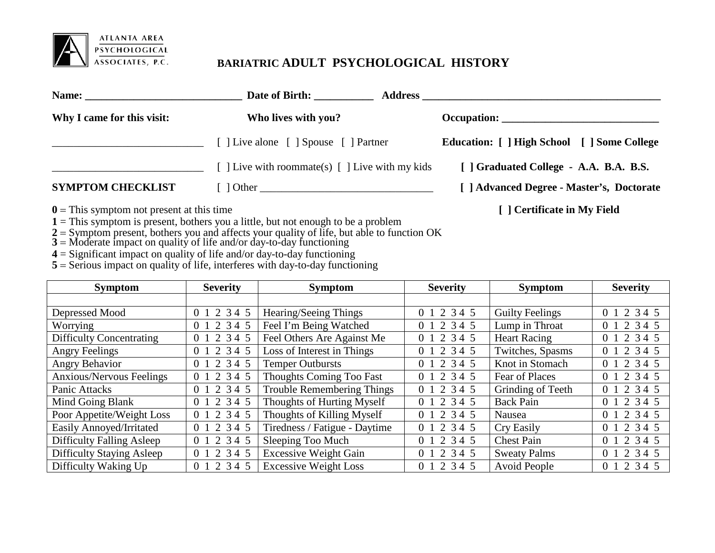

## **BARIATRIC ADULT PSYCHOLOGICAL HISTORY**

|                            | Date of Birth:                                         | <b>Address</b>                              |
|----------------------------|--------------------------------------------------------|---------------------------------------------|
| Why I came for this visit: | Who lives with you?                                    | Occupation:                                 |
|                            | [ ] Live alone [ ] Spouse [ ] Partner                  | Education: [ ] High School [ ] Some College |
|                            | [ ] Live with roommate(s) $\lceil$ ] Live with my kids | [ ] Graduated College - A.A. B.A. B.S.      |
| <b>SYMPTOM CHECKLIST</b>   |                                                        | [ ] Advanced Degree - Master's, Doctorate   |
|                            |                                                        |                                             |

- **0** = This symptom not present at this time **[ ] Certificate in My Field**
- **1** = This symptom is present, bothers you a little, but not enough to be a problem
- **2** = Symptom present, bothers you and affects your quality of life, but able to function OK
- **3** = Moderate impact on quality of life and/or day-to-day functioning
- **4** = Significant impact on quality of life and/or day-to-day functioning
- **5** = Serious impact on quality of life, interferes with day-to-day functioning

| <b>Severity</b><br><b>Symptom</b> |                           | <b>Symptom</b>                    | <b>Severity</b>           | <b>Symptom</b>         | <b>Severity</b> |
|-----------------------------------|---------------------------|-----------------------------------|---------------------------|------------------------|-----------------|
|                                   |                           |                                   |                           |                        |                 |
| Depressed Mood                    | 0 1 2 3 4 5               | Hearing/Seeing Things             | 0 1 2 3 4 5               | <b>Guilty Feelings</b> | 0 1 2 3 4 5     |
| Worrying                          | 0 1 2 3 4 5               | Feel I'm Being Watched            | 0 1 2 3 4 5               | Lump in Throat         | 0 1 2 3 4 5     |
| <b>Difficulty Concentrating</b>   | 2 3 4 5<br>0 <sub>1</sub> | Feel Others Are Against Me        | 0 1 2 3 4 5               | <b>Heart Racing</b>    | 0 1 2 3 4 5     |
| <b>Angry Feelings</b>             | 0 1 2 3 4 5               | Loss of Interest in Things        | 0 1 2 3 4 5               | Twitches, Spasms       | 0 1 2 3 4 5     |
| <b>Angry Behavior</b>             | 0 1 2 3 4 5               | <b>Temper Outbursts</b>           | 0 1 2 3 4 5               | Knot in Stomach        | 0 1 2 3 4 5     |
| <b>Anxious/Nervous Feelings</b>   | 0 1 2 3 4 5               | <b>Thoughts Coming Too Fast</b>   | 0 1 2 3 4 5               | Fear of Places         | 0 1 2 3 4 5     |
| Panic Attacks                     | 0 1 2 3 4 5               | <b>Trouble Remembering Things</b> | 0 1 2 3 4 5               | Grinding of Teeth      | 0 1 2 3 4 5     |
| Mind Going Blank                  | 0 1 2 3 4 5               | Thoughts of Hurting Myself        | 0 1 2 3 4 5               | <b>Back Pain</b>       | 0 1 2 3 4 5     |
| Poor Appetite/Weight Loss         | 0 1 2 3 4 5               | Thoughts of Killing Myself        | 2345<br>0 <sub>1</sub>    | Nausea                 | 0 1 2 3 4 5     |
| Easily Annoyed/Irritated          | 0 1 2 3 4 5               | Tiredness / Fatigue - Daytime     | 0 1 2 3 4 5               | Cry Easily             | 0 1 2 3 4 5     |
| Difficulty Falling Asleep         | 0 1 2 3 4 5               | Sleeping Too Much                 | 2 3 4 5<br>0 <sub>1</sub> | <b>Chest Pain</b>      | 0 1 2 3 4 5     |
| Difficulty Staying Asleep         | 0 1 2 3 4 5               | <b>Excessive Weight Gain</b>      | 0 1 2 3 4 5               | <b>Sweaty Palms</b>    | 0 1 2 3 4 5     |
| Difficulty Waking Up              | 0 1 2 3 4 5               | <b>Excessive Weight Loss</b>      | 0 1 2 3 4 5               | Avoid People           | 0 1 2 3 4 5     |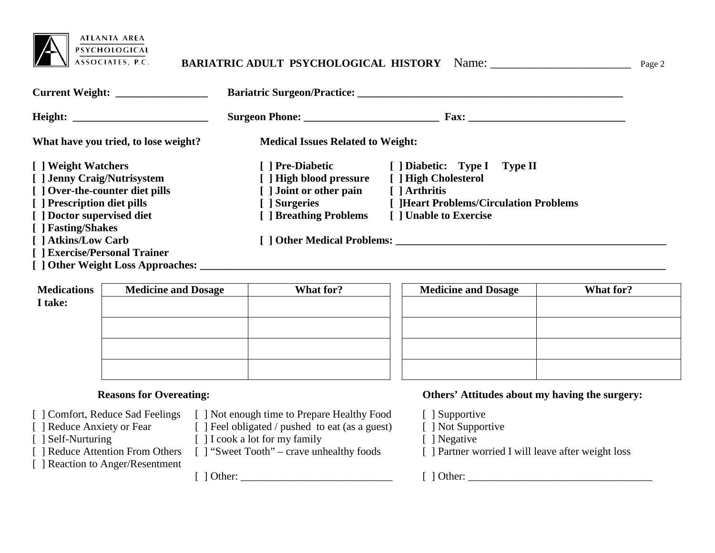

## **BARIATRIC ADULT PSYCHOLOGICAL HISTORY** Name: \_\_\_\_\_\_\_\_\_\_\_\_\_\_\_\_\_\_\_\_\_\_ Page 2

| Current Weight:                      |                                          |                                        |  |  |  |
|--------------------------------------|------------------------------------------|----------------------------------------|--|--|--|
|                                      | Surgeon Phone:                           | $\textbf{Fax:}$                        |  |  |  |
| What have you tried, to lose weight? | <b>Medical Issues Related to Weight:</b> |                                        |  |  |  |
| [ ] Weight Watchers                  | [ ] Pre-Diabetic                         | [ ] Diabetic: Type I Type II           |  |  |  |
| [ ] Jenny Craig/Nutrisystem          | [ ] High blood pressure                  | [ ] High Cholesterol                   |  |  |  |
| [ ] Over-the-counter diet pills      | [ ] Joint or other pain                  | [ ] Arthritis                          |  |  |  |
| [ ] Prescription diet pills          | [ ] Surgeries                            | [ ]Heart Problems/Circulation Problems |  |  |  |
| [ ] Doctor supervised diet           | [ ] Breathing Problems                   | [ ] Unable to Exercise                 |  |  |  |
| [ ] Fasting/Shakes                   |                                          |                                        |  |  |  |
| [ ] Atkins/Low Carb                  |                                          | [ ] Other Medical Problems:            |  |  |  |
| [ ] Exercise/Personal Trainer        |                                          |                                        |  |  |  |
| [ ] Other Weight Loss Approaches:    |                                          |                                        |  |  |  |

| <b>Medications</b> | <b>Medicine and Dosage</b> | What for? | <b>Medicine and Dosage</b> | What for? |
|--------------------|----------------------------|-----------|----------------------------|-----------|
| I take:            |                            |           |                            |           |
|                    |                            |           |                            |           |
|                    |                            |           |                            |           |
|                    |                            |           |                            |           |
|                    |                            |           |                            |           |
|                    |                            |           |                            |           |

- 
- 
- 
- 

[ ] Reaction to Anger/Resentment

[ ] Comfort, Reduce Sad Feelings [ ] Not enough time to Prepare Healthy Food [ ] Supportive [ ] Reduce Anxiety or Fear [ ] Feel obligated / pushed to eat (as a guest) [ ] Not Supportive

[ ] Reduce Anxiety or Fear [ ] Feel obligated / pushed to eat (as a guest) [ ] Self-Nurturing [ ] I cook a lot for my family

[ ] Self-Nurturing [ ] I cook a lot for my family [ ] Negative [ ] Reduce Attention From Others [ ] "Sweet Tooth" – crave unhealthy foods [ ] Partner w

[ ] Other: \_\_\_\_\_\_\_\_\_\_\_\_\_\_\_\_\_\_\_\_\_\_\_\_\_\_\_\_ [ ] Other: \_\_\_\_\_\_\_\_\_\_\_\_\_\_\_\_\_\_\_\_\_\_\_\_\_\_\_\_\_\_\_\_\_\_

#### **Reasons for Overeating: Others' Attitudes about my having the surgery:**

- 
- 
- 
- [ ] Partner worried I will leave after weight loss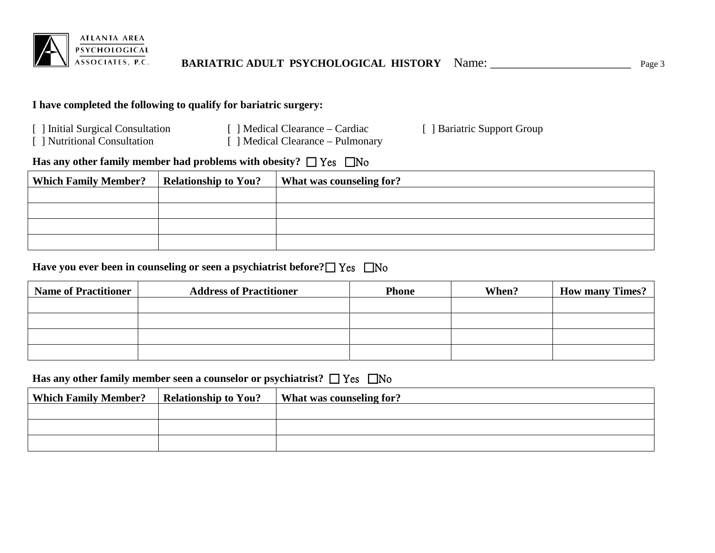

## **I have completed the following to qualify for bariatric surgery:**

- 
- 

- 
- [ ] Initial Surgical Consultation [ ] Medical Clearance Cardiac [ ] Bariatric Support Group [ ] Nutritional Consultation [ ] Medical Clearance Pulmonary  $\lceil$  ] Medical Clearance – Pulmonary

## **Has any other family member had problems with obesity?**  $\Box$  Yes  $\Box$  No

| <b>Which Family Member?</b> | <b>Relationship to You?</b> | What was counseling for? |
|-----------------------------|-----------------------------|--------------------------|
|                             |                             |                          |
|                             |                             |                          |
|                             |                             |                          |
|                             |                             |                          |

## **Have you ever been in counseling or seen a psychiatrist before? □ Yes □ No**

| <b>Name of Practitioner</b> | <b>Address of Practitioner</b> | <b>Phone</b> | When? | <b>How many Times?</b> |
|-----------------------------|--------------------------------|--------------|-------|------------------------|
|                             |                                |              |       |                        |
|                             |                                |              |       |                        |
|                             |                                |              |       |                        |
|                             |                                |              |       |                        |

### **Has any other family member seen a counselor or psychiatrist?**  $\Box$  Yes  $\Box$  No

| <b>Which Family Member?</b> | <b>Relationship to You?</b> | What was counseling for? |
|-----------------------------|-----------------------------|--------------------------|
|                             |                             |                          |
|                             |                             |                          |
|                             |                             |                          |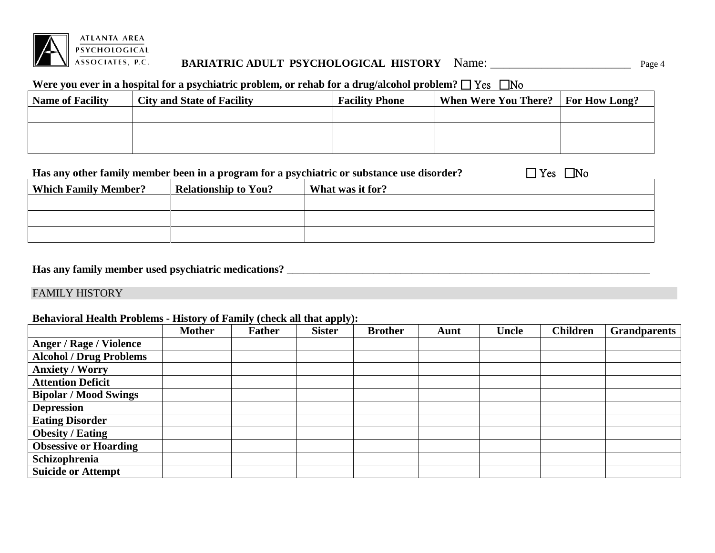

## **BARIATRIC ADULT PSYCHOLOGICAL HISTORY** Name: \_\_\_\_\_\_\_\_\_\_\_\_\_\_\_\_\_\_\_\_\_\_ Page 4

### Were you ever in a hospital for a psychiatric problem, or rehab for a drug/alcohol problem?  $\Box$  Yes  $\Box$  No

| <b>Name of Facility</b> | <b>City and State of Facility</b> | <b>Facility Phone</b> | <b>When Were You There?</b> For How Long? |  |
|-------------------------|-----------------------------------|-----------------------|-------------------------------------------|--|
|                         |                                   |                       |                                           |  |
|                         |                                   |                       |                                           |  |
|                         |                                   |                       |                                           |  |

|                             | Has any other family member been in a program for a psychiatric or substance use disorder? | $\Box$ No<br>$\exists$ Yes $\Box$ |  |
|-----------------------------|--------------------------------------------------------------------------------------------|-----------------------------------|--|
| <b>Which Family Member?</b> | <b>Relationship to You?</b>                                                                | What was it for?                  |  |
|                             |                                                                                            |                                   |  |
|                             |                                                                                            |                                   |  |
|                             |                                                                                            |                                   |  |

## **Has any family member used psychiatric medications?** \_\_\_\_\_\_\_\_\_\_\_\_\_\_\_\_\_\_\_\_\_\_\_\_\_\_\_\_\_\_\_\_\_\_\_\_\_\_\_\_\_\_\_\_\_\_\_\_\_\_\_\_\_\_\_\_\_\_\_\_\_\_\_\_\_\_\_

#### FAMILY HISTORY

#### **Behavioral Health Problems - History of Family (check all that apply):**

|                                | <b>Mother</b> | <b>Father</b> | <b>Sister</b> | <b>Brother</b> | Aunt | Uncle | <b>Children</b> | <b>Grandparents</b> |
|--------------------------------|---------------|---------------|---------------|----------------|------|-------|-----------------|---------------------|
| <b>Anger / Rage / Violence</b> |               |               |               |                |      |       |                 |                     |
| <b>Alcohol / Drug Problems</b> |               |               |               |                |      |       |                 |                     |
| <b>Anxiety / Worry</b>         |               |               |               |                |      |       |                 |                     |
| <b>Attention Deficit</b>       |               |               |               |                |      |       |                 |                     |
| <b>Bipolar / Mood Swings</b>   |               |               |               |                |      |       |                 |                     |
| <b>Depression</b>              |               |               |               |                |      |       |                 |                     |
| <b>Eating Disorder</b>         |               |               |               |                |      |       |                 |                     |
| <b>Obesity / Eating</b>        |               |               |               |                |      |       |                 |                     |
| <b>Obsessive or Hoarding</b>   |               |               |               |                |      |       |                 |                     |
| Schizophrenia                  |               |               |               |                |      |       |                 |                     |
| <b>Suicide or Attempt</b>      |               |               |               |                |      |       |                 |                     |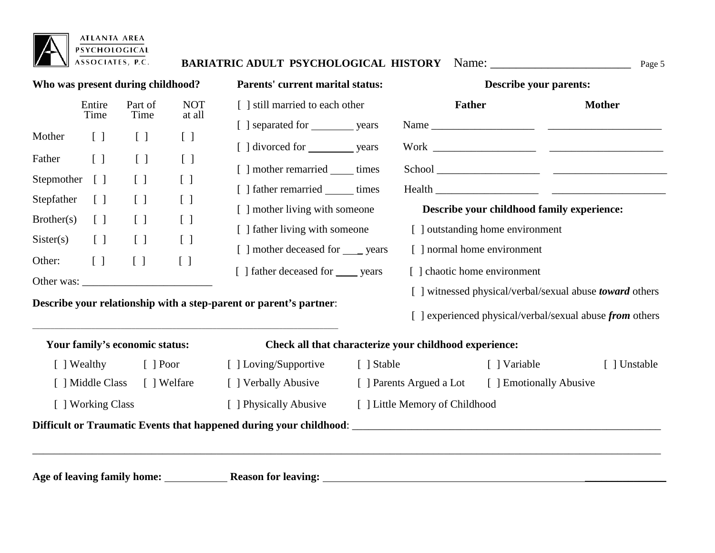|                 |                 | Who was present during childhood? |                                   | <b>Parents' current marital status:</b>   | <b>Describe your parents:</b>              |               |
|-----------------|-----------------|-----------------------------------|-----------------------------------|-------------------------------------------|--------------------------------------------|---------------|
|                 | Entire<br>Time  | Part of<br>Time                   | <b>NOT</b><br>at all              | [ ] still married to each other           | <b>Father</b>                              | <b>Mother</b> |
| Mother          | $[\ ]$          | $\begin{bmatrix} \end{bmatrix}$   | $\begin{bmatrix} 1 \end{bmatrix}$ |                                           |                                            |               |
| Father [ ]      |                 | $\begin{bmatrix} \end{bmatrix}$   | $\begin{bmatrix} \end{bmatrix}$   |                                           |                                            |               |
| Stepmother      | $\Box$          | $\begin{bmatrix} \end{bmatrix}$   | $[\ ]$                            | [ ] mother remarried ______ times         |                                            |               |
| Stepfather      | $\Box$          | $\begin{bmatrix} \end{bmatrix}$   | $\begin{bmatrix} \end{bmatrix}$   | [ ] father remarried _______ times        |                                            |               |
| Brother(s)      | $\lceil \rceil$ | $\begin{bmatrix} \end{bmatrix}$   | $\begin{bmatrix} 1 \end{bmatrix}$ | [ ] mother living with someone            | Describe your childhood family experience: |               |
| $Sister(s)$ [ ] |                 | $\begin{bmatrix} \end{bmatrix}$   | $\begin{bmatrix} \end{bmatrix}$   | [ ] father living with someone            | [ ] outstanding home environment           |               |
| Other: $[ ]$    |                 |                                   | [ ]                               | [ ] mother deceased for <u>___</u> years  | [ ] normal home environment                |               |
|                 |                 |                                   |                                   | [ ] father deceased for <u>same</u> years | [ ] chaotic home environment               |               |

# **Your family's economic status: Check all that characterize your childhood experience:**

| Wealthy                                                            | Poor    | Loving/Supportive  | Stable                         | Variable                   | ] Unstable |  |  |  |  |
|--------------------------------------------------------------------|---------|--------------------|--------------------------------|----------------------------|------------|--|--|--|--|
| Middle Class                                                       | Welfare | Verbally Abusive   | Parents Argued a Lot           | <b>Emotionally Abusive</b> |            |  |  |  |  |
| Working Class                                                      |         | Physically Abusive | [ ] Little Memory of Childhood |                            |            |  |  |  |  |
| Difficult or Traumatic Events that happened during your childhood: |         |                    |                                |                            |            |  |  |  |  |
|                                                                    |         |                    |                                |                            |            |  |  |  |  |

**Age of leaving family home: Reason for leaving:** \_\_\_\_\_\_\_\_\_\_\_\_\_\_\_

 $\overline{\phantom{a}}$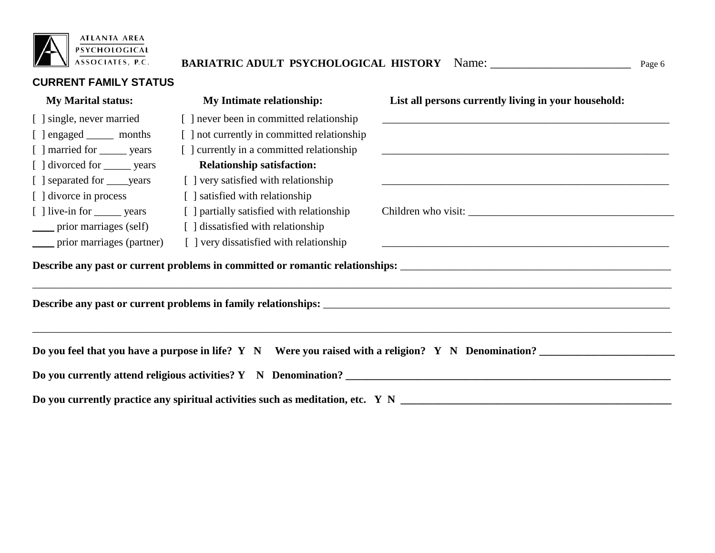

# **BARIATRIC ADULT PSYCHOLOGICAL HISTORY** Name: \_\_\_\_\_\_\_\_\_\_\_\_\_\_\_\_\_\_\_\_\_\_ Page 6

**CURRENT FAMILY STATUS**

| <b>My Marital status:</b>                                                                           | <b>My Intimate relationship:</b>            | List all persons currently living in your household: |  |  |  |  |  |
|-----------------------------------------------------------------------------------------------------|---------------------------------------------|------------------------------------------------------|--|--|--|--|--|
| [ ] single, never married                                                                           | [ ] never been in committed relationship    |                                                      |  |  |  |  |  |
| [ ] engaged _______ months                                                                          | [ ] not currently in committed relationship |                                                      |  |  |  |  |  |
| [ ] married for _______ years                                                                       | [ ] currently in a committed relationship   |                                                      |  |  |  |  |  |
| [ ] divorced for _______ years                                                                      | <b>Relationship satisfaction:</b>           |                                                      |  |  |  |  |  |
| [ ] separated for <u>years</u>                                                                      | [ ] very satisfied with relationship        |                                                      |  |  |  |  |  |
| [ ] divorce in process                                                                              | [ ] satisfied with relationship             |                                                      |  |  |  |  |  |
| [ ] live-in for ________ years                                                                      | [ ] partially satisfied with relationship   |                                                      |  |  |  |  |  |
| prior marriages (self)                                                                              | [] dissatisfied with relationship           |                                                      |  |  |  |  |  |
| prior marriages (partner)                                                                           | [] very dissatisfied with relationship      |                                                      |  |  |  |  |  |
|                                                                                                     |                                             |                                                      |  |  |  |  |  |
|                                                                                                     |                                             |                                                      |  |  |  |  |  |
| Do you feel that you have a purpose in life? Y N Were you raised with a religion? Y N Denomination? |                                             |                                                      |  |  |  |  |  |
|                                                                                                     |                                             |                                                      |  |  |  |  |  |

**Do you currently practice any spiritual activities such as meditation, etc. Y N \_\_\_\_\_\_\_\_\_\_\_\_\_\_\_\_\_\_\_\_\_\_\_\_\_\_\_\_\_\_\_\_\_\_\_\_\_\_\_\_\_\_\_\_\_\_\_\_\_\_**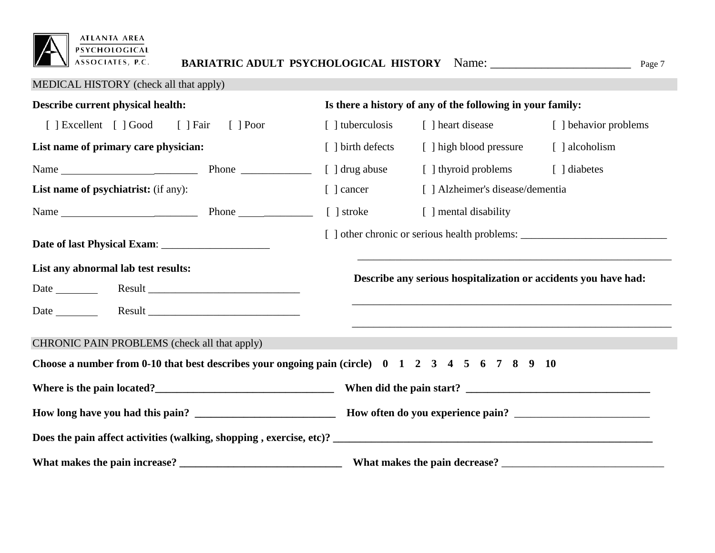

# MEDICAL HISTORY (check all that apply)

| Describe current physical health:                                                                                                                                                                                              |                 | Is there a history of any of the following in your family:                       |                                                                 |                       |  |  |  |  |
|--------------------------------------------------------------------------------------------------------------------------------------------------------------------------------------------------------------------------------|-----------------|----------------------------------------------------------------------------------|-----------------------------------------------------------------|-----------------------|--|--|--|--|
| [ ] Excellent [ ] Good [ ] Fair                                                                                                                                                                                                | $\lceil$   Poor | [ ] tuberculosis                                                                 | [ ] heart disease                                               | [ ] behavior problems |  |  |  |  |
| List name of primary care physician:                                                                                                                                                                                           |                 |                                                                                  | [ ] birth defects [ ] high blood pressure                       | [ ] alcoholism        |  |  |  |  |
|                                                                                                                                                                                                                                |                 | [ ] drug abuse                                                                   | [] thyroid problems [] diabetes                                 |                       |  |  |  |  |
| <b>List name of psychiatrist:</b> (if any):                                                                                                                                                                                    |                 | [ ] cancer                                                                       | [ ] Alzheimer's disease/dementia                                |                       |  |  |  |  |
| Name 1 Stroke 2 and 2 and 2 and 2 and 2 and 2 and 2 and 2 and 2 and 2 and 2 and 2 and 2 and 2 and 2 and 2 and 2 and 2 and 2 and 2 and 2 and 2 and 2 and 2 and 2 and 2 and 2 and 2 and 2 and 2 and 2 and 2 and 2 and 2 and 2 an |                 |                                                                                  | [ ] mental disability                                           |                       |  |  |  |  |
|                                                                                                                                                                                                                                |                 | [ ] other chronic or serious health problems: __________________________________ |                                                                 |                       |  |  |  |  |
| List any abnormal lab test results:                                                                                                                                                                                            |                 |                                                                                  | Describe any serious hospitalization or accidents you have had: |                       |  |  |  |  |
| Date Result Result Result Result Result Result Result Result Result Result Result Result Results Results Results Results Results Results Results Results Results Results Results Results Results Results Results Results Resul |                 |                                                                                  |                                                                 |                       |  |  |  |  |
| CHRONIC PAIN PROBLEMS (check all that apply)<br>Choose a number from 0-10 that best describes your ongoing pain (circle) $0 \quad 1 \quad 2 \quad 3 \quad 4 \quad 5 \quad 6 \quad 7 \quad 8 \quad 9 \quad 10$                  |                 |                                                                                  |                                                                 |                       |  |  |  |  |
|                                                                                                                                                                                                                                |                 |                                                                                  |                                                                 |                       |  |  |  |  |
|                                                                                                                                                                                                                                |                 |                                                                                  |                                                                 |                       |  |  |  |  |
|                                                                                                                                                                                                                                |                 |                                                                                  |                                                                 |                       |  |  |  |  |
|                                                                                                                                                                                                                                |                 |                                                                                  |                                                                 |                       |  |  |  |  |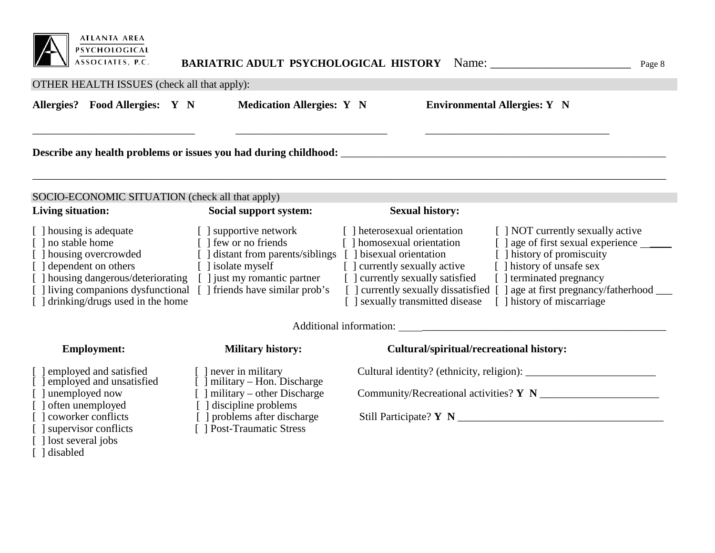

\_\_\_\_\_\_\_\_\_\_\_\_\_\_\_\_\_\_\_\_\_\_\_\_\_\_\_\_\_\_ \_\_\_\_\_\_\_\_\_\_\_\_\_\_\_\_\_\_\_\_\_\_\_\_\_\_\_\_ \_\_\_\_\_\_\_\_\_\_\_\_\_\_\_\_\_\_\_\_\_\_\_\_\_\_\_\_\_\_\_\_\_\_

### OTHER HEALTH ISSUES (check all that apply):

**Allergies? Food Allergies: Y N Medication Allergies: Y N Environmental Allergies: Y N**

**Describe** any health problems or issues you had during childhood:

| SOCIO-ECONOMIC SITUATION (check all that apply) |                                   |                                 |                                     |  |  |  |  |
|-------------------------------------------------|-----------------------------------|---------------------------------|-------------------------------------|--|--|--|--|
| Living situation:                               | Social support system:            | <b>Sexual history:</b>          |                                     |  |  |  |  |
| [ ] housing is adequate                         | [ ] supportive network            | heterosexual orientation        | [ ] NOT currently sexually active   |  |  |  |  |
| [ ] no stable home                              | $\lceil$ 1 few or no friends      | [] homosexual orientation       | age of first sexual experience      |  |  |  |  |
| [ ] housing overcrowded                         | [ ] distant from parents/siblings | bisexual orientation            | [1] history of promiscuity          |  |  |  |  |
| dependent on others                             | [ ] isolate myself                | currently sexually active       | history of unsafe sex               |  |  |  |  |
| housing dangerous/deteriorating                 | just my romantic partner          | currently sexually satisfied    | terminated pregnancy                |  |  |  |  |
| I living companions dysfunctional               | I friends have similar prob's     | currently sexually dissatisfied | ] age at first pregnancy/fatherhood |  |  |  |  |
| drinking/drugs used in the home                 |                                   | sexually transmitted disease    | I history of miscarriage            |  |  |  |  |

\_\_\_\_\_\_\_\_\_\_\_\_\_\_\_\_\_\_\_\_\_\_\_\_\_\_\_\_\_\_\_\_\_\_\_\_\_\_\_\_\_\_\_\_\_\_\_\_\_\_\_\_\_\_\_\_\_\_\_\_\_\_\_\_\_\_\_\_\_\_\_\_\_\_\_\_\_\_\_\_\_\_\_\_\_\_\_\_\_\_\_\_\_\_\_\_\_\_\_\_\_\_\_\_\_\_\_\_\_\_\_\_\_\_\_\_\_

Additional information: \_\_\_\_\_\_\_\_\_\_\_\_\_\_\_\_\_\_\_\_\_\_\_\_\_\_\_\_\_\_\_\_\_\_\_\_\_\_\_\_\_\_\_\_\_

[ ] employed and satisfied [ ] never in military Cultural identity? (ethnicity, religion): \_\_\_\_\_\_\_\_\_\_\_\_\_\_\_\_\_\_\_\_\_\_\_\_ [ ] employed and unsatisfied [ ] military – Hon. Discharge [ ] unemployed now [ ] military – other Discharge Community/Recreational activities? **Y N** \_\_\_\_\_\_\_\_\_\_\_\_\_\_\_\_\_\_\_\_\_\_ [ ] often unemployed [ ] discipline problems [ ] coworker conflicts [ ] ] problems after discharge [ ] coworker conflicts [ ] problems after discharge Still Participate? **Y N** \_\_\_\_\_\_\_\_\_\_\_\_\_\_\_\_\_\_\_\_\_\_\_\_\_\_\_\_\_\_\_\_\_\_\_\_\_\_ [ ] lost several jobs [ ] disabled

- 
- 
- 
- 
- 
- $\overline{ }$ [  $\overline{ }$  Post-Traumatic Stress]

### **Employment:** Military history: Cultural/spiritual/recreational history: